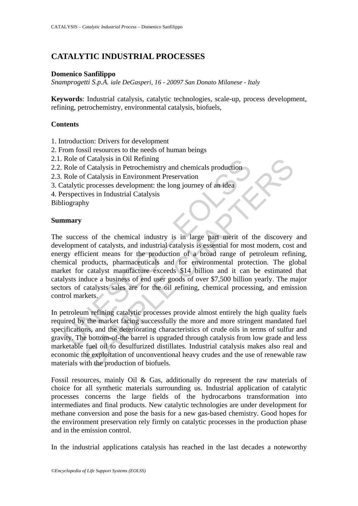# **CATALYTIC INDUSTRIAL PROCESSES**

### **Domenico Sanfilippo**

*Snamprogetti S.p.A. iale DeGasperi, 16 - 20097 San Donato Milanese - Italy* 

**Keywords**: Industrial catalysis, catalytic technologies, scale-up, process development, refining, petrochemistry, environmental catalysis, biofuels,

#### **Contents**

- 1. Introduction: Drivers for development
- 2. From fossil resources to the needs of human beings
- 2.1. Role of Catalysis in Oil Refining
- 2.2. Role of Catalysis in Petrochemistry and chemicals production
- 2.3. Role of Catalysis in Environment Preservation
- 3. Catalytic processes development: the long journey of an idea
- 4. Perspectives in Industrial Catalysis

Bibliography

### **Summary**

Role of Catalysis in Oil Refining<br>
Role of Catalysis in Petrochemistry and chemicals production<br>
Role of Catalysis in Environment Preservation<br>
atalytic processes development: the long journey of an idea<br>
erspectives in In If Catalysis in Oil Refining<br>
f Catalysis in Petrochemistry and chemicals production<br>
f Catalysis in Petrochemistry and chemicals production<br>
processes development: the long journey of an idea<br>
ives in Industrial Catalysis The success of the chemical industry is in large part merit of the discovery and development of catalysts, and industrial catalysis is essential for most modern, cost and energy efficient means for the production of a broad range of petroleum refining, chemical products, pharmaceuticals and for environmental protection. The global market for catalyst manufacture exceeds \$14 billion and it can be estimated that catalysts induce a business of end user goods of over \$7,500 billion yearly. The major sectors of catalysts sales are for the oil refining, chemical processing, and emission control markets.

In petroleum refining catalytic processes provide almost entirely the high quality fuels required by the market facing successfully the more and more stringent mandated fuel specifications, and the deteriorating characteristics of crude oils in terms of sulfur and gravity. The bottom-of-the barrel is upgraded through catalysis from low grade and less marketable fuel oil to desulfurized distillates. Industrial catalysis makes also real and economic the exploitation of unconventional heavy crudes and the use of renewable raw materials with the production of biofuels.

Fossil resources, mainly Oil & Gas, additionally do represent the raw materials of choice for all synthetic materials surrounding us. Industrial application of catalytic processes concerns the large fields of the hydrocarbons transformation into intermediates and final products. New catalytic technologies are under development for methane conversion and pose the basis for a new gas-based chemistry. Good hopes for the environment preservation rely firmly on catalytic processes in the production phase and in the emission control.

In the industrial applications catalysis has reached in the last decades a noteworthy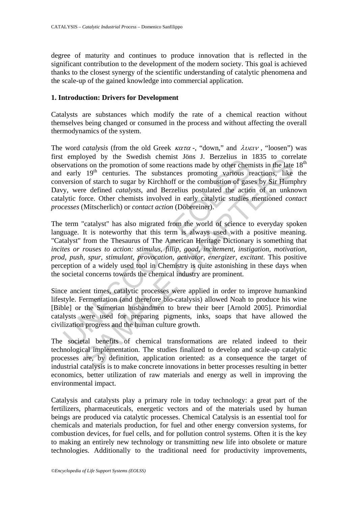degree of maturity and continues to produce innovation that is reflected in the significant contribution to the development of the modern society. This goal is achieved thanks to the closest synergy of the scientific understanding of catalytic phenomena and the scale-up of the gained knowledge into commercial application.

#### **1. Introduction: Drivers for Development**

Catalysts are substances which modify the rate of a chemical reaction without themselves being changed or consumed in the process and without affecting the overall thermodynamics of the system.

The word *catalysis* (from the old Greek  $\kappa \alpha \tau \alpha$  -, "down," and  $\lambda \nu \varepsilon \nu$ , "loosen") was first employed by the Swedish chemist Jöns J. Berzelius in 1835 to correlate observations on the promotion of some reactions made by other chemists in the late  $18<sup>th</sup>$ and early  $19<sup>th</sup>$  centuries. The substances promoting various reactions, like the conversion of starch to sugar by Kirchhoff or the combustion of gases by Sir Humphry Davy, were defined *catalysts*, and Berzelius postulated the action of an unknown catalytic force. Other chemists involved in early catalytic studies mentioned *contact processes* (Mitscherlich) or *contact action* (Döbereiner).

Envivore by an extension entertains on the promine of some reactions and by other chemerations on the promotion of some reactions made by other chemeraty 19<sup>th</sup> centuries. The substances promoting various reversion of sta by all of some swears chemist sols. Decrement the sols of the constant in the promotion of some reactions made by other chemists in the late of starch to sugar by Kirchhoff or the combustion of gases by Sir Hum  $19^{\text{th}}$ The term "catalyst" has also migrated from the world of science to everyday spoken language. It is noteworthy that this term is always used with a positive meaning. "Catalyst" from the Thesaurus of The American Heritage Dictionary is something that *incites or rouses to action: stimulus, fillip, goad, incitement, instigation, motivation, prod, push, spur, stimulant, provocation, activator, energizer, excitant*. This positive perception of a widely used tool in Chemistry is quite astonishing in these days when the societal concerns towards the chemical industry are prominent.

Since ancient times, catalytic processes were applied in order to improve humankind lifestyle. Fermentation (and therefore bio-catalysis) allowed Noah to produce his wine [Bible] or the Sumerian husbandmen to brew their beer [Arnold 2005]. Primordial catalysts were used for preparing pigments, inks, soaps that have allowed the civilization progress and the human culture growth.

The societal benefits of chemical transformations are related indeed to their technological implementation. The studies finalized to develop and scale-up catalytic processes are, by definition, application oriented: as a consequence the target of industrial catalysis is to make concrete innovations in better processes resulting in better economics, better utilization of raw materials and energy as well in improving the environmental impact.

Catalysis and catalysts play a primary role in today technology: a great part of the fertilizers, pharmaceuticals, energetic vectors and of the materials used by human beings are produced via catalytic processes. Chemical Catalysis is an essential tool for chemicals and materials production, for fuel and other energy conversion systems, for combustion devices, for fuel cells, and for pollution control systems. Often it is the key to making an entirely new technology or transmitting new life into obsolete or mature technologies. Additionally to the traditional need for productivity improvements,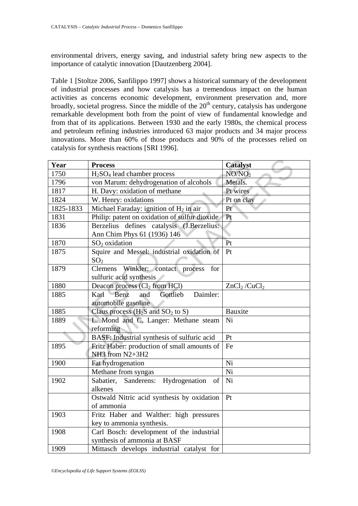environmental drivers, energy saving, and industrial safety bring new aspects to the importance of catalytic innovation [Dautzenberg 2004].

Table 1 [Stoltze 2006, Sanfilippo 1997] shows a historical summary of the development of industrial processes and how catalysis has a tremendous impact on the human activities as concerns economic development, environment preservation and, more broadly, societal progress. Since the middle of the  $20<sup>th</sup>$  century, catalysis has undergone remarkable development both from the point of view of fundamental knowledge and from that of its applications. Between 1930 and the early 1980s, the chemical process and petroleum refining industries introduced 63 major products and 34 major process innovations. More than 60% of those products and 90% of the processes relied on catalysis for synthesis reactions [SRI 1996].

| Year      | <b>Process</b>                                         | <b>Catalyst</b>                      |  |  |
|-----------|--------------------------------------------------------|--------------------------------------|--|--|
| 1750      | $H2SO4$ lead chamber process                           | NO/NO <sub>2</sub>                   |  |  |
| 1796      | von Marum: dehydrogenation of alcohols                 | Metals.                              |  |  |
| 1817      | H. Davy: oxidation of methane                          | Pt wires                             |  |  |
| 1824      | W. Henry: oxidations                                   | Pt on clay                           |  |  |
| 1825-1833 | Michael Faraday: ignition of $H_2$ in air              | Pt                                   |  |  |
| 1831      | Philip: patent on oxidation of sulfur dioxide          | Pt                                   |  |  |
| 1836      | Berzelius defines catalysis (J.Berzelius:              |                                      |  |  |
|           | Ann Chim Phys 61 (1936) 146                            |                                      |  |  |
| 1870      | $SO2$ oxidation                                        | Pt                                   |  |  |
| 1875      | Squire and Messel: industrial oxidation of             | Pt                                   |  |  |
|           | SO <sub>2</sub>                                        |                                      |  |  |
| 1879      | Clemens Winkler: contact process for                   |                                      |  |  |
|           | sulfuric acid synthesis                                |                                      |  |  |
| 1880      | Deacon process (Cl <sub>2</sub> from HCl)              | ZnCl <sub>2</sub> /CuCl <sub>2</sub> |  |  |
| 1885      | Gottlieb<br>Daimler:<br>Benz<br>Karl<br>and            |                                      |  |  |
|           | automobile gasoline                                    |                                      |  |  |
| 1885      | Claus process $(H_2S \text{ and } SO_2 \text{ to } S)$ | <b>Bauxite</b>                       |  |  |
| 1889      | L. Mond and C. Langer: Methane steam                   | Ni                                   |  |  |
|           | reforming                                              |                                      |  |  |
|           | BASF: Industrial synthesis of sulfuric acid            | Pt                                   |  |  |
| 1895      | Fritz Haber: production of small amounts of            | Fe                                   |  |  |
|           | NH3 from N2+3H2                                        |                                      |  |  |
| 1900      | Fat hydrogenation                                      | Ni                                   |  |  |
|           | Methane from syngas                                    | Ni                                   |  |  |
| 1902      | Hydrogenation<br>Sabatier, Sanderens:<br>of            | Ni                                   |  |  |
|           | alkenes                                                |                                      |  |  |
|           | Ostwald Nitric acid synthesis by oxidation             | Pt                                   |  |  |
|           | of ammonia                                             |                                      |  |  |
| 1903      | Fritz Haber and Walther: high pressures                |                                      |  |  |
|           | key to ammonia synthesis.                              |                                      |  |  |
| 1908      | Carl Bosch: development of the industrial              |                                      |  |  |
|           | synthesis of ammonia at BASF                           |                                      |  |  |
| 1909      | Mittasch develops industrial catalyst for              |                                      |  |  |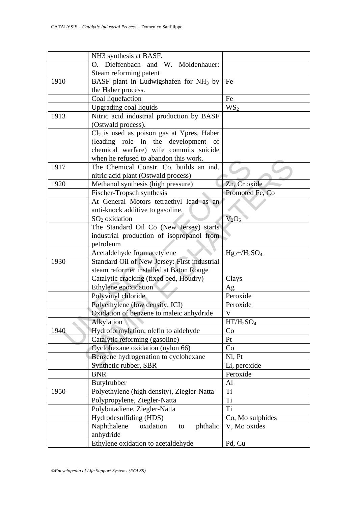|            | NH3 synthesis at BASF.                            |                  |  |
|------------|---------------------------------------------------|------------------|--|
|            | Dieffenbach and W. Moldenhauer:<br>$O_{\alpha}$   |                  |  |
|            | Steam reforming patent                            |                  |  |
| 1910       | BASF plant in Ludwigshafen for NH <sub>3</sub> by | Fe               |  |
|            | the Haber process.                                |                  |  |
|            | Coal liquefaction                                 | Fe               |  |
|            | Upgrading coal liquids                            | WS <sub>2</sub>  |  |
| 1913       | Nitric acid industrial production by BASF         |                  |  |
|            | (Ostwald process).                                |                  |  |
|            | $Cl2$ is used as poison gas at Ypres. Haber       |                  |  |
|            | (leading role in the development of               |                  |  |
|            | chemical warfare) wife commits suicide            |                  |  |
|            | when he refused to abandon this work.             |                  |  |
| 1917       | The Chemical Constr. Co. builds an ind.           |                  |  |
|            | nitric acid plant (Ostwald process)               |                  |  |
| 1920       | Methanol synthesis (high pressure)                | Zn, Cr oxide     |  |
|            | Fischer-Tropsch synthesis                         | Promoted Fe, Co  |  |
|            | At General Motors tetraethyl lead as an           |                  |  |
|            | anti-knock additive to gasoline.                  |                  |  |
|            | SO <sub>2</sub> oxidation                         | $V_2O_5$         |  |
|            | The Standard Oil Co (New Jersey) starts           |                  |  |
|            | industrial production of isopropanol from         |                  |  |
|            | petroleum                                         |                  |  |
|            | Acetaldehyde from acetylene                       | $Hg_2+/H_2SO_4$  |  |
| 1930       | Standard Oil of New Jersey: First industrial      |                  |  |
|            | steam reformer installed at Baton Rouge           |                  |  |
|            | Catalytic cracking (fixed bed, Houdry)            | Clays            |  |
|            | Ethylene epoxidation                              |                  |  |
|            | Polyvinyl chloride                                | Ag<br>Peroxide   |  |
|            |                                                   | Peroxide         |  |
|            | Polyethylene (low density, ICI)                   |                  |  |
|            | Oxidation of benzene to maleic anhydride          | V                |  |
|            | Alkylation                                        | $HF/H_2SO_4$     |  |
| 1940       | Hydroformylation, olefin to aldehyde              | Co               |  |
|            | Catalytic reforming (gasoline)                    | Pt               |  |
|            | Cyclohexane oxidation (nylon 66)                  | Co               |  |
|            | Benzene hydrogenation to cyclohexane              | Ni, Pt           |  |
|            | Synthetic rubber, SBR                             | Li, peroxide     |  |
| <b>BNR</b> |                                                   | Peroxide         |  |
|            | Butylrubber                                       | A1               |  |
| 1950       | Polyethylene (high density), Ziegler-Natta        | Ti               |  |
|            | Polypropylene, Ziegler-Natta                      | Ti               |  |
|            | Polybutadiene, Ziegler-Natta                      | Ti               |  |
|            | Hydrodesulfiding (HDS)                            | Co, Mo sulphides |  |
|            | Naphthalene<br>phthalic<br>oxidation<br>to        | V, Mo oxides     |  |
|            | anhydride                                         |                  |  |
|            | Ethylene oxidation to acetaldehyde                | Pd, Cu           |  |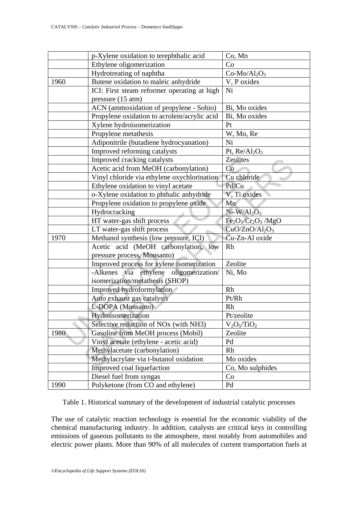|      | p-Xylene oxidation to terephthalic acid                        | Co, Mn            |  |
|------|----------------------------------------------------------------|-------------------|--|
|      | Ethylene oligomerization                                       | Co                |  |
|      | Hydrotreating of naphtha                                       | $Co-Mo/Al_2O_3$   |  |
| 1960 | Butene oxidation to maleic anhydride                           | V, P oxides       |  |
|      | ICI: First steam reformer operating at high                    | Ni                |  |
|      | pressure (15 atm)                                              |                   |  |
|      | ACN (ammoxidation of propylene - Sohio)                        | Bi, Mo oxides     |  |
|      | Propylene oxidation to acrolein/acrylic acid                   | Bi, Mo oxides     |  |
|      | Xylene hydroisomerization                                      | Pt                |  |
|      | Propylene metathesis                                           | W, Mo, Re         |  |
|      | Adiponitrile (butadiene hydrocyanation)                        | Ni                |  |
|      | Improved reforming catalysts                                   | Pt, $Re/Al_2O_3$  |  |
|      | Improved cracking catalysts                                    | Zeolites          |  |
|      | Acetic acid from MeOH (carbonylation)                          | Co                |  |
|      | Vinyl chloride via ethylene oxychlorination                    | Cu chloride       |  |
|      | Ethylene oxidation to vinyl acetate                            | Pd/Cu             |  |
|      | o-Xylene oxidation to phthalic anhydride                       | V, Ti oxides      |  |
|      | Propylene oxidation to propylene oxide                         | Mo                |  |
|      | Hydrocracking                                                  | $Ni-W/Al2O3$      |  |
|      | HT water-gas shift process                                     | $Fe2O3/Cr2O3/MgO$ |  |
|      | LT water-gas shift process                                     | $CuO/ZnO/Al_2O_3$ |  |
| 1970 | Methanol synthesis (low pressure, ICI)                         | Cu-Zn-Al oxide    |  |
|      | Acetic acid (MeOH carbonylation, low                           | Rh                |  |
|      | pressure process, Monsanto)                                    |                   |  |
|      | Improved process for xylene isomerization                      | Zeolite           |  |
|      | ethylene oligomerization/<br>-Alkenes via                      | Ni, Mo            |  |
|      | isomerization/metathesis (SHOP)                                |                   |  |
|      | Improved hydroformylation                                      | Rh                |  |
|      | Auto exhaust gas catalysts                                     | Pt/Rh             |  |
|      | L-DOPA (Monsanto)                                              | Rh                |  |
|      | Hydroisomerization                                             | Pt/zeolite        |  |
|      | Selective reduction of NO <sub>x</sub> (with NH <sub>3</sub> ) | $V_2O_5/TiO_2$    |  |
| 1980 | Gasoline from MeOH process (Mobil)                             | Zeolite           |  |
|      | Vinyl acetate (ethylene - acetic acid)                         | Pd                |  |
|      | Methylacetate (carbonylation)                                  | Rh                |  |
|      | Methylacrylate via t-butanol oxidation                         | Mo oxides         |  |
|      | Improved coal liquefaction                                     | Co, Mo sulphides  |  |
|      | Diesel fuel from syngas                                        | Co                |  |
| 1990 | Polyketone (from CO and ethylene)                              | Pd                |  |

Table 1. Historical summary of the development of industrial catalytic processes

The use of catalytic reaction technology is essential for the economic viability of the chemical manufacturing industry. In addition, catalysts are critical keys in controlling emissions of gaseous pollutants to the atmosphere, most notably from automobiles and electric power plants. More than 90% of all molecules of current transportation fuels at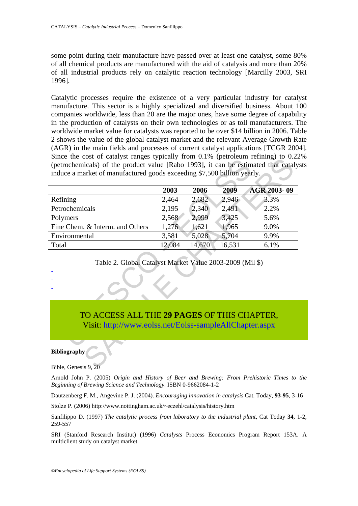some point during their manufacture have passed over at least one catalyst, some 80% of all chemical products are manufactured with the aid of catalysis and more than 20% of all industrial products rely on catalytic reaction technology [Marcilly 2003, SRI 1996].

Catalytic processes require the existence of a very particular industry for catalyst manufacture. This sector is a highly specialized and diversified business. About 100 companies worldwide, less than 20 are the major ones, have some degree of capability in the production of catalysts on their own technologies or as toll manufacturers. The worldwide market value for catalysts was reported to be over \$14 billion in 2006. Table 2 shows the value of the global catalyst market and the relevant Average Growth Rate (AGR) in the main fields and processes of current catalyst applications [TCGR 2004]. Since the cost of catalyst ranges typically from 0.1% (petroleum refining) to 0.22% (petrochemicals) of the product value [Rabo 1993], it can be estimated that catalysts induce a market of manufactured goods exceeding \$7,500 billion yearly.

| Since the cost of catalyst ranges typically from 0.1% (performing refining) to 0.22                    |        |        |        |             |  |  |  |  |
|--------------------------------------------------------------------------------------------------------|--------|--------|--------|-------------|--|--|--|--|
| (petrochemicals) of the product value [Rabo 1993], it can be estimated that cataly                     |        |        |        |             |  |  |  |  |
| induce a market of manufactured goods exceeding \$7,500 billion yearly.                                |        |        |        |             |  |  |  |  |
|                                                                                                        | 2003   | 2006   | 2009   | AGR 2003-09 |  |  |  |  |
| Refining                                                                                               | 2,464  | 2,682  | 2,946  | 3.3%        |  |  |  |  |
| Petrochemicals                                                                                         | 2,195  | 2,340  | 2,491  | 2.2%        |  |  |  |  |
| Polymers                                                                                               | 2,568  | 2,999  | 3,425  | 5.6%        |  |  |  |  |
| Fine Chem. & Interm. and Others                                                                        | 1,276  | 1,621  | 1,965  | 9.0%        |  |  |  |  |
| Environmental                                                                                          | 3,581  | 5,028  | 5,704  | 9.9%        |  |  |  |  |
| Total                                                                                                  | 12,084 | 14,670 | 16,531 | 6.1%        |  |  |  |  |
| Table 2. Global Catalyst Market Value 2003-2009 (Mil \$)                                               |        |        |        |             |  |  |  |  |
| TO ACCESS ALL THE 29 PAGES OF THIS CHAPTER,<br>Visit: http://www.eolss.net/Eolss-sampleAllChapter.aspx |        |        |        |             |  |  |  |  |
| <b>Bibliography</b><br>Bible, Genesis 9, 20                                                            |        |        |        |             |  |  |  |  |

### Table 2. Global Catalyst Market Value 2003-2009 (Mil \$)

## TO ACCESS ALL THE **29 PAGES** OF THIS CHAPTER,

#### **Bibliography**

Bible, Genesis 9, 20

Arnold John P. (2005) *Origin and History of Beer and Brewing: From Prehistoric Times to the Beginning of Brewing Science and Technology*. ISBN 0-9662084-1-2

Dautzenberg F. M., Angevine P. J. (2004). *Encouraging innovation in catalysis* Cat. Today, **93-95**, 3-16

Stolze P. (2006) http://www.nottingham.ac.uk/~eczehl/catalysis/history.htm

Sanfilippo D. (1997) *The catalytic process from laboratory to the industrial plant*, Cat Today **34**, 1-2, 259-557

SRI (Stanford Research Institut) (1996) *Catalysts* Process Economics Program Report 153A. A multiclient study on catalyst market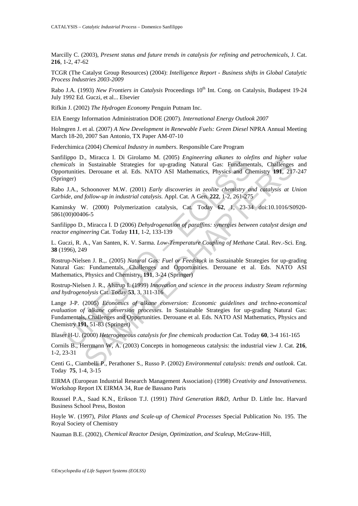Marcilly C. (2003), *Present status and future trends in catalysis for refining and petrochemicals*, J. Cat. **216**, 1-2, 47-62

TCGR (The Catalyst Group Resources) (2004): *Intelligence Report - Business shifts in Global Catalytic Process Industries 2003-2009*

Rabo J.A. (1993) *New Frontiers in Catalysis* Proceedings 10<sup>th</sup> Int. Cong. on Catalysis, Budapest 19-24 July 1992 Ed. Guczi, et al... Elsevier

Rifkin J. (2002) *The Hydrogen Economy* Penguin Putnam Inc.

EIA Energy Information Administration DOE (2007). *International Energy Outlook 2007*

Holmgren J. et al. (2007) *A New Development in Renewable Fuels: Green Diesel* NPRA Annual Meeting March 18-20, 2007 San Antonio, TX Paper AM-07-10

Federchimica (2004) *Chemical Industry in numbers*. Responsible Care Program

Sanfilippo D., Miracca I. Di Girolamo M. (2005) *Engineering alkanes to olefins and higher value chemicals* in Sustainable Strategies for up-grading Natural Gas: Fundamentals, Challenges and Opportunities. Derouane et al. Eds. NATO ASI Mathematics, Physics and Chemistry **191**, 217-247 (Springer)

Rabo J.A., Schoonover M.W. (2001) *Early discoveries in zeolite chemistry and catalysis at Union Carbide, and follow-up in industrial catalysis.* Appl. Cat. A Gen. **222**, 1-2, 261-275

Kaminsky W. (2000) Polymerization catalysis, Cat. Today **62**, 1, 23-34 doi:10.1016/S0920- 5861(00)00406-5

Sanfilippo D., Miracca I. D (2006) *Dehydrogenation of paraffins: synergies between catalyst design and reactor engineering* Cat. Today **111**, 1-2, 133-139

L. Guczi, R. A., Van Santen, K. V. Sarma. *Low-Temperature Coupling of Methane* Catal. Rev.-Sci. Eng. **38** (1996), 249

Rostrup-Nielsen J. R.,. (2005) *Natural Gas: Fuel or Feedstock* in Sustainable Strategies for up-grading Natural Gas: Fundamentals, Challenges and Opportunities. Derouane et al. Eds. NATO ASI Mathematics, Physics and Chemistry, **191**, 3-24 (Springer)

Rostrup-Nielsen J. R., Alstrup I. (1999) *Innovation and science in the process industry Steam reforming and hydrogenolysis* Cat. Today **53**, 3, 311-316

mppo D., winacea 1. D Glodalino Mt. (2005) *Engineering diskates to oney*<br>iticals in Sustainable Strategies for up-grading Natural Gas: Fundament<br>turnities. Derouane et al. Eds. NATO ASI Mathematics, Physics and Ch<br>nest)<br>i I, Miracea I. D. Gironamo M. (2005) *Empineering alikanes to olegins and nigner*<br>1. Sustainable Strategies for up-grading Natural Gas: Fundamentals, Challenges<br>5. Derouane et al. Eds. NATO ASI Mathematics, Physics and Chem Lange J-P. (2005) *Economics of alkane conversion: Economic guidelines and techno-economical evaluation of alkane conversion processes.* In Sustainable Strategies for up-grading Natural Gas: Fundamentals, Challenges and Opportunities. Derouane et al. Eds. NATO ASI Mathematics, Physics and Chemistry **191**, 51-83 (Springer)

Blaser H-U. (2000) *Heterogeneous catalysis for fine chemicals production* Cat. Today **60**, 3-4 161-165

Cornils B., Herrmann W, A. (2003) Concepts in homogeneous catalysis: the industrial view J. Cat. **216**, 1-2, 23-31

Centi G., Ciambelli P., Perathoner S., Russo P. (2002) *Environmental catalysis: trends and outlook.* Cat. Today **75**, 1-4, 3-15

EIRMA (European Industrial Research Management Association) (1998) *Creativity and Innovativeness*. Workshop Report IX EIRMA 34, Rue de Bassano Paris

Roussel P.A., Saad K.N., Erikson T.J. (1991) *Third Generation R&D*, Arthur D. Little Inc. Harvard Business School Press, Boston

Hoyle W. (1997), *Pilot Plants and Scale-up of Chemical Processes* Special Publication No. 195. The Royal Society of Chemistry

Nauman B.E. (2002), *Chemical Reactor Design, Optimization, and Scaleup*, McGraw-Hill,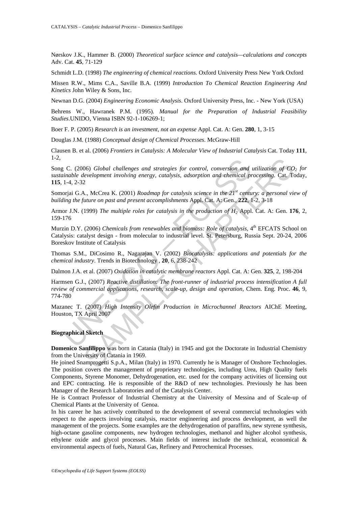Nørskov J.K., Hammer B. (2000) *Theoretical surface science and catalysis—calculations and concepts* Adv. Cat. **45**, 71-129

Schmidt L.D. (1998) *The engineering of chemical reactions*. Oxford University Press New York Oxford

Missen R.W., Mims C.A., Saville B.A. (1999) *Introduction To Chemical Reaction Engineering And Kinetics* John Wiley & Sons, Inc.

Newnan D.G. (2004) *Engineering Economic Analysis*. Oxford University Press, Inc. - New York (USA)

Behrens W., Hawranek P.M. (1995). *Manual for the Preparation of Industrial Feasibility Studies*.UNIDO, Vienna ISBN 92-1-106269-1;

Boer F. P. (2005) *Research is an investment, not an expense* Appl. Cat. A: Gen. **280**, 1, 3-15

Douglas J.M. (1988) *Conceptual design of Chemical Processes*. McGraw-Hill

Clausen B. et al. (2006) *Frontiers in Catalysis: A Molecular View of Industrial Catalysis* Cat. Today **111**, 1-2,

Song C. (2006) *Global challenges and strategies for control, conversion and utilization of CO<sub>2</sub> for sustainable development involving energy, catalysis, adsorption and chemical processing*. Cat. Today, **115**, 1-4, 2-32

Somorjai G.A., McCrea K. (2001) *Roadmap for catalysis science in the 21st century: a personal view of building the future on past and present accomplishments* Appl. Cat. A: Gen., **222**, 1-2, 3-18

Armor J.N. (1999) *The multiple roles for catalysis in the production of H2* Appl. Cat. A: Gen. **176**, 2, 159-176

Murzin D.Y. (2006) *Chemicals from renewables and biomass: Role of catalysis*,  $4<sup>th</sup> EFCATS$  School on Catalysis: catalyst design - from molecular to industrial level. St. Petersburg, Russia Sept. 20-24, 2006 Boreskov Institute of Catalysis

Thomas S.M., DiCosimo R., Nagarajan V. (2002) *Biocatalysis: applications and potentials for the chemical industry*. Trends in Biotechnology , **20**, 6, 238-242

Dalmon J.A. et al. (2007) *Oxidation in catalytic membrane reactors* Appl. Cat. A: Gen. **325**, 2, 198-204

(C. (2006) *Global challenges and strategies for control, conversion and*<br>tinable development involving energy, catalysis, adsorption and chemical p<br>1-4, 2-32<br>orjai G.A., McCrea K. (2001) *Roadmap for catalysis science in* 06) *Global challenges and strategies for control, conversion and utilization of Co<br>tevelopment involving energy, catalysis, adsorption and chemical processing. Cat. To<br>2<br>A., McCrea K. (2001) <i>Roadmap for catalysis scienc* Harmsen G.J., (2007) *Reactive distillation: The front-runner of industrial process intensification A full review of commercial applications, research, scale-up, design and operation*, Chem. Eng. Proc. **46**, 9, 774-780

Mazanec T. (2007) *High Intensity Olefin Production in Microchannel Reactors* AIChE Meeting, Houston, TX April 2007

#### **Biographical Sketch**

**Domenico Sanfilippo** was born in Catania (Italy) in 1945 and got the Doctorate in Industrial Chemistry from the University of Catania in 1969.

He joined Snamprogetti S.p.A., Milan (Italy) in 1970. Currently he is Manager of Onshore Technologies. The position covers the management of proprietary technologies, including Urea, High Quality fuels Components, Styrene Monomer, Dehydrogenation, etc. used for the company activities of licensing out and EPC contracting. He is responsible of the R&D of new technologies. Previously he has been Manager of the Research Laboratories and of the Catalysis Center.

He is Contract Professor of Industrial Chemistry at the University of Messina and of Scale-up of Chemical Plants at the University of Genoa.

In his career he has actively contributed to the development of several commercial technologies with respect to the aspects involving catalysis, reactor engineering and process development, as well the management of the projects. Some examples are the dehydrogenation of paraffins, new styrene synthesis, high-octane gasoline components, new hydrogen technologies, methanol and higher alcohol synthesis, ethylene oxide and glycol processes. Main fields of interest include the technical, economical & environmental aspects of fuels, Natural Gas, Refinery and Petrochemical Processes.